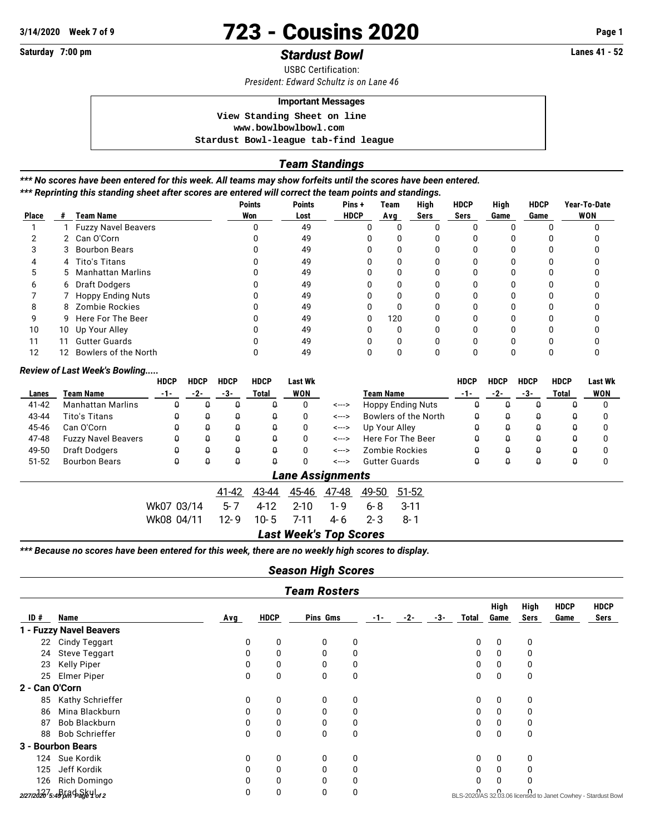# **3/14/2020** Week 7 of 9<br> **3/14/2020** Page 1<br> **Saturday** 7:00 pm

# **Saturday 7:00 pm Stardust Bowl Stardust Bowl**

USBC Certification:

*President: Edward Schultz is on Lane 46*

## **Important Messages**

 **View Standing Sheet on line <www.bowlbowlbowl.com> Stardust Bowl-league tab-find league**

#### *Team Standings*

*\*\*\* No scores have been entered for this week. All teams may show forfeits until the scores have been entered. \*\*\* Reprinting this standing sheet after scores are entered will correct the team points and standings.*

| <b>Place</b> | #  | <b>Team Name</b>        | <b>Points</b><br>Won | <b>Points</b><br>Lost | Pins+<br><b>HDCP</b> | Team<br>Avg | High<br>Sers | <b>HDCP</b><br>Sers | High<br>Game | <b>HDCP</b><br>Game | Year-To-Date<br><b>WON</b> |
|--------------|----|-------------------------|----------------------|-----------------------|----------------------|-------------|--------------|---------------------|--------------|---------------------|----------------------------|
|              |    | 1 Fuzzy Navel Beavers   |                      | 49                    |                      |             |              |                     |              |                     |                            |
|              |    | 2 Can O'Corn            |                      | 49                    |                      | ი           |              |                     |              |                     |                            |
|              |    | 3 Bourbon Bears         |                      | 49                    |                      |             |              |                     |              |                     |                            |
|              |    | 4 Tito's Titans         |                      | 49                    |                      | ŋ           | ŋ            | n                   | <sup>0</sup> |                     |                            |
|              |    | 5 Manhattan Marlins     |                      | 49                    |                      |             |              |                     |              |                     |                            |
|              |    | 6 Draft Dodgers         |                      | 49                    |                      | n           |              |                     | U            |                     |                            |
|              |    | 7 Hoppy Ending Nuts     |                      | 49                    |                      | ŋ           |              |                     | O            |                     |                            |
| 8            |    | 8 Zombie Rockies        |                      | 49                    |                      | U           |              |                     | U            |                     |                            |
| 9            |    | 9 Here For The Beer     |                      | 49                    | 0                    | 120         |              |                     | <sup>0</sup> |                     |                            |
| 10           |    | 10 Up Your Alley        |                      | 49                    |                      |             |              |                     |              |                     |                            |
| 11           | 11 | <b>Gutter Guards</b>    |                      | 49                    |                      | U           |              |                     | U            |                     |                            |
| 12           |    | 12 Bowlers of the North |                      | 49                    |                      |             |              |                     |              |                     |                            |

#### *Review of Last Week's Bowling.....*

|           |                            | <b>HDCP</b> | <b>HDCP</b> | <b>HDCP</b> | <b>HDCP</b> | <b>Last Wk</b> |       |                      |                          | <b>HDCP</b> | <b>HDCP</b> | <b>HDCP</b> | <b>HDCP</b> | <b>Last Wk</b> |
|-----------|----------------------------|-------------|-------------|-------------|-------------|----------------|-------|----------------------|--------------------------|-------------|-------------|-------------|-------------|----------------|
| Lanes     | Team Name                  | -1-         | -2-         | -3-         | Total       | <b>WON</b>     |       | <b>Team Name</b>     |                          |             | -2-         | -3-         | Total       | <b>WON</b>     |
| $41 - 42$ | <b>Manhattan Marlins</b>   | Q           | Q           | Q           | Q           | 0              | <---> |                      | <b>Hoppy Ending Nuts</b> | $\Omega$    | Q           | Q           | Q           | $\Omega$       |
| 43-44     | Tito's Titans              | Q           | û           | Û           | Q           | 0              | <---> |                      | Bowlers of the North     | $\Omega$    | Û           | Û           | Q           |                |
| 45-46     | Can O'Corn                 | Q           | û           | Q           | 0           | 0              | <---> | Up Your Alley        |                          | Û           | Q           | Q           | Û           |                |
| 47-48     | <b>Fuzzy Navel Beavers</b> | Q           | Q           | Q           | Q           | 0              | <---> |                      | Here For The Beer        | Û           | Q           | Q           | Û           |                |
| 49-50     | Draft Dodgers              | $\theta$    | û           | Q           | Q           | 0              | <---> |                      | Zombie Rockies           | Û           | Q           | Q           | Û           |                |
| $51 - 52$ | <b>Bourbon Bears</b>       | Q           | Q           | Q           | Q           | 0              | <---> | <b>Gutter Guards</b> |                          | Û           | Q           | Q           | Q           | 0              |
|           | <b>Lane Assignments</b>    |             |             |             |             |                |       |                      |                          |             |             |             |             |                |
|           |                            |             |             | 41-42       | 43-44       | 45-46          | 47-48 | 49-50                | 51-52                    |             |             |             |             |                |
|           |                            | Wk07 03/14  |             | 5-7         | $4 - 12$    | $2 - 10$       | 1-9   | $6 - 8$              | $3 - 11$                 |             |             |             |             |                |
|           |                            | Wk08 04/11  |             | $12 - 9$    | $10 - 5$    | 7-11           | 4-6   | $2 - 3$              | 8-1                      |             |             |             |             |                |

*Last Week's Top Scores*

*\*\*\* Because no scores have been entered for this week, there are no weekly high scores to display.*

## *Season High Scores*

|                | <b>Team Rosters</b>                         |     |             |          |   |  |       |     |       |              |              |                     |                                                               |
|----------------|---------------------------------------------|-----|-------------|----------|---|--|-------|-----|-------|--------------|--------------|---------------------|---------------------------------------------------------------|
| ID#            | <b>Name</b>                                 | Avg | <b>HDCP</b> | Pins Gms |   |  | $-2-$ | -3- | Total | High<br>Game | High<br>Sers | <b>HDCP</b><br>Game | <b>HDCP</b><br>Sers                                           |
|                | 1 - Fuzzy Navel Beavers                     |     |             |          |   |  |       |     |       |              |              |                     |                                                               |
|                | 22 Cindy Teggart                            | 0   | 0           | 0        | 0 |  |       |     | 0     | 0            | 0            |                     |                                                               |
| 24             | <b>Steve Teggart</b>                        | 0   | 0           | $\Omega$ | 0 |  |       |     | 0     | 0            | 0            |                     |                                                               |
| 23             | <b>Kelly Piper</b>                          | 0   | 0           | 0        | 0 |  |       |     | 0     | 0            | 0            |                     |                                                               |
| 25             | <b>Elmer Piper</b>                          | 0   | 0           | $\Omega$ | 0 |  |       |     | 0     | 0            | 0            |                     |                                                               |
| 2 - Can O'Corn |                                             |     |             |          |   |  |       |     |       |              |              |                     |                                                               |
| 85             | Kathy Schrieffer                            | 0   | 0           | 0        | 0 |  |       |     | 0     | 0            | 0            |                     |                                                               |
| 86             | Mina Blackburn                              | 0   | 0           | $\Omega$ | 0 |  |       |     | 0     | 0            | 0            |                     |                                                               |
| 87             | Bob Blackburn                               | 0   | 0           | 0        | 0 |  |       |     | 0     | 0            | 0            |                     |                                                               |
| 88             | <b>Bob Schrieffer</b>                       | 0   | 0           | 0        | 0 |  |       |     | 0     | 0            | 0            |                     |                                                               |
|                | 3 - Bourbon Bears                           |     |             |          |   |  |       |     |       |              |              |                     |                                                               |
| 124            | Sue Kordik                                  | 0   | 0           | 0        | 0 |  |       |     | 0     | 0            | 0            |                     |                                                               |
| 125            | Jeff Kordik                                 | 0   | 0           | 0        | 0 |  |       |     | 0     | 0            | 0            |                     |                                                               |
| 126            | Rich Domingo                                |     | 0           | 0        | 0 |  |       |     |       | 0            | 0            |                     |                                                               |
|                | 2/27/2020 <sup>7</sup> 5:49 And Days 4 of 2 | 0   | 0           | 0        | 0 |  |       |     |       |              |              |                     | BLS-2020/AS 32.03.06 licensed to Janet Cowhey - Stardust Bowl |